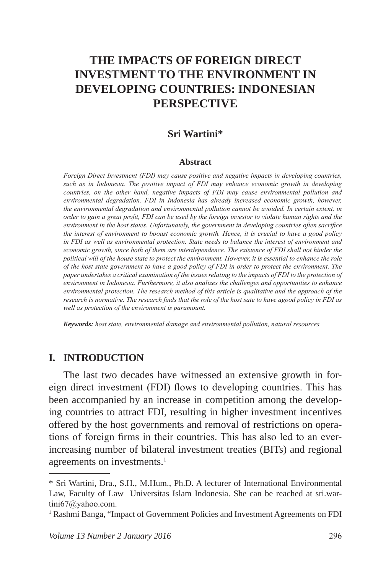# **THE IMPACTS OF FOREIGN DIRECT INVESTMENT TO THE ENVIRONMENT IN DEVELOPING COUNTRIES: INDONESIAN PERSPECTIVE**

### **Sri Wartini\***

#### **Abstract**

*Foreign Direct Investment (FDI) may cause positive and negative impacts in developing countries, such as in Indonesia. The positive impact of FDI may enhance economic growth in developing countries, on the other hand, negative impacts of FDI may cause environmental pollution and environmental degradation. FDI in Indonesia has already increased economic growth, however, the environmental degradation and environmental pollution cannot be avoided. In certain extent, in order to gain a great profit, FDI can be used by the foreign investor to violate human rights and the environment in the host states. Unfortunately, the government in developing countries often sacrifice the interest of environment to booast economic growth. Hence, it is crucial to have a good policy in FDI as well as environmental protection. State needs to balance the interest of environment and economic growth, since both of them are interdependence. The existence of FDI shall not hinder the political will of the house state to protect the environment. However, it is essential to enhance the role of the host state government to have a good policy of FDI in order to protect the environment. The paper undertakes a critical examination of the issues relating to the impacts of FDI to the protection of environment in Indonesia. Furthermore, it also analizes the challenges and opportunities to enhance environmental protection. The research method of this article is qualitative and the approach of the research is normative. The research finds that the role of the host sate to have agood policy in FDI as well as protection of the environment is paramount.*

*Keywords: host state, environmental damage and environmental pollution, natural resources*

### **I. INTRODUCTION**

The last two decades have witnessed an extensive growth in foreign direct investment (FDI) flows to developing countries. This has been accompanied by an increase in competition among the developing countries to attract FDI, resulting in higher investment incentives offered by the host governments and removal of restrictions on operations of foreign firms in their countries. This has also led to an everincreasing number of bilateral investment treaties (BITs) and regional agreements on investments.<sup>1</sup>

<sup>\*</sup> Sri Wartini, Dra., S.H., M.Hum., Ph.D. A lecturer of International Environmental Law, Faculty of Law Universitas Islam Indonesia. She can be reached at sri.wartini67@yahoo.com.

<sup>&</sup>lt;sup>1</sup> Rashmi Banga, "Impact of Government Policies and Investment Agreements on FDI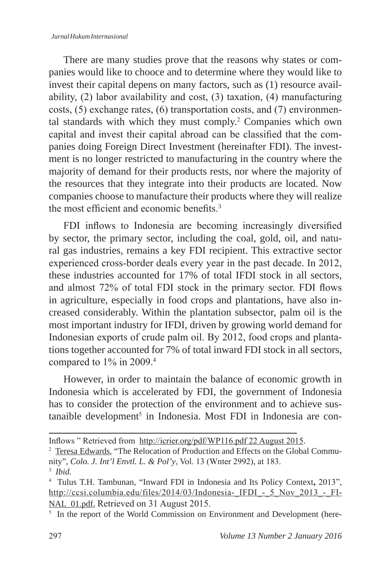#### *Jurnal Hukum Internasional*

There are many studies prove that the reasons why states or companies would like to chooce and to determine where they would like to invest their capital depens on many factors, such as (1) resource availability, (2) labor availability and cost, (3) taxation, (4) manufacturing costs, (5) exchange rates, (6) transportation costs, and (7) environmental standards with which they must comply.<sup>2</sup> Companies which own capital and invest their capital abroad can be classified that the companies doing Foreign Direct Investment (hereinafter FDI). The investment is no longer restricted to manufacturing in the country where the majority of demand for their products rests, nor where the majority of the resources that they integrate into their products are located. Now companies choose to manufacture their products where they will realize the most efficient and economic benefits  $3$ 

FDI inflows to Indonesia are becoming increasingly diversified by sector, the primary sector, including the coal, gold, oil, and natural gas industries, remains a key FDI recipient. This extractive sector experienced cross-border deals every year in the past decade. In 2012, these industries accounted for 17% of total IFDI stock in all sectors, and almost 72% of total FDI stock in the primary sector. FDI flows in agriculture, especially in food crops and plantations, have also increased considerably. Within the plantation subsector, palm oil is the most important industry for IFDI, driven by growing world demand for Indonesian exports of crude palm oil. By 2012, food crops and plantations together accounted for 7% of total inward FDI stock in all sectors, compared to 1% in 2009.4

However, in order to maintain the balance of economic growth in Indonesia which is accelerated by FDI, the government of Indonesia has to consider the protection of the environment and to achieve sustanaible development<sup>5</sup> in Indonesia. Most FDI in Indonesia are con-

Inflows " Retrieved from http://icrier.org/pdf/WP116.pdf 22 August 2015.

<sup>&</sup>lt;sup>2</sup> Teresa Edwards, "The Relocation of Production and Effects on the Global Community", *Colo. J. Int'l Envtl. L. & Pol'y*, Vol. 13 (Wnter 2992), at 183.

<sup>3</sup> *Ibid.*

<sup>4</sup> Tulus T.H. Tambunan, "Inward FDI in Indonesia and Its Policy Context**,** 2013", http://ccsi.columbia.edu/files/2014/03/Indonesia-IFDI - 5 Nov 2013 - FI-NAL 01.pdf, Retrieved on 31 August 2015.

<sup>&</sup>lt;sup>5</sup> In the report of the World Commission on Environment and Development (here-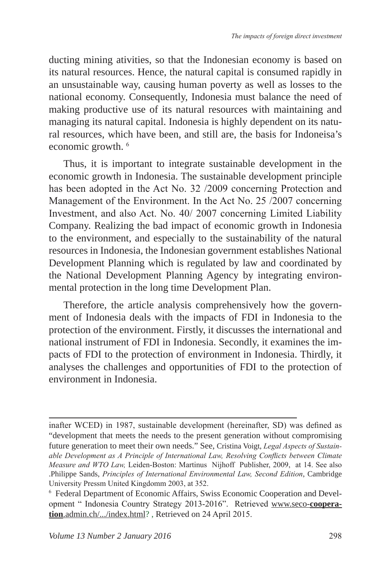ducting mining ativities, so that the Indonesian economy is based on its natural resources. Hence, the natural capital is consumed rapidly in an unsustainable way, causing human poverty as well as losses to the national economy. Consequently, Indonesia must balance the need of making productive use of its natural resources with maintaining and managing its natural capital. Indonesia is highly dependent on its natural resources, which have been, and still are, the basis for Indoneisa's economic growth. <sup>6</sup>

Thus, it is important to integrate sustainable development in the economic growth in Indonesia. The sustainable development principle has been adopted in the Act No. 32 /2009 concerning Protection and Management of the Environment. In the Act No. 25 /2007 concerning Investment, and also Act. No. 40/ 2007 concerning Limited Liability Company. Realizing the bad impact of economic growth in Indonesia to the environment, and especially to the sustainability of the natural resources in Indonesia, the Indonesian government establishes National Development Planning which is regulated by law and coordinated by the National Development Planning Agency by integrating environmental protection in the long time Development Plan.

Therefore, the article analysis comprehensively how the government of Indonesia deals with the impacts of FDI in Indonesia to the protection of the environment. Firstly, it discusses the international and national instrument of FDI in Indonesia. Secondly, it examines the impacts of FDI to the protection of environment in Indonesia. Thirdly, it analyses the challenges and opportunities of FDI to the protection of environment in Indonesia.

inafter WCED) in 1987, sustainable development (hereinafter, SD) was defined as "development that meets the needs to the present generation without compromising future generation to meet their own needs." See, Cristina Voigt, *Legal Aspects of Sustainable Development as A Principle of International Law, Resolving Conflicts between Climate Measure and WTO Law,* Leiden-Boston: Martinus Nijhoff Publisher, 2009, at 14. See also .Philippe Sands, *Principles of International Environmental Law, Second Edition*, Cambridge University Pressm United Kingdomm 2003, at 352.

<sup>6</sup> Federal Department of Economic Affairs, Swiss Economic Cooperation and Development " Indonesia Country Strategy 2013-2016". Retrieved www.seco-**cooperation**.admin.ch/.../index.html? , Retrieved on 24 April 2015.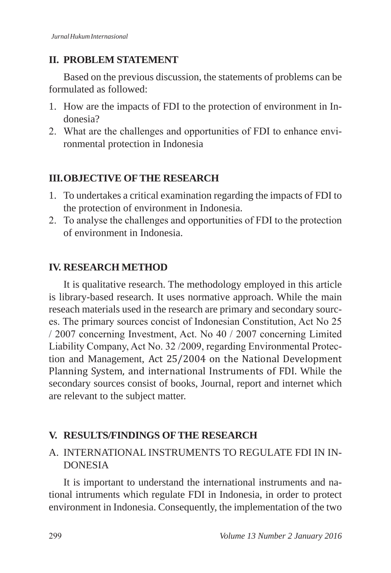## **II. PROBLEM STATEMENT**

Based on the previous discussion, the statements of problems can be formulated as followed:

- 1. How are the impacts of FDI to the protection of environment in Indonesia?
- 2. What are the challenges and opportunities of FDI to enhance environmental protection in Indonesia

## **III.OBJECTIVE OF THE RESEARCH**

- 1. To undertakes a critical examination regarding the impacts of FDI to the protection of environment in Indonesia.
- 2. To analyse the challenges and opportunities of FDI to the protection of environment in Indonesia.

## **IV. RESEARCH METHOD**

It is qualitative research. The methodology employed in this article is library-based research. It uses normative approach. While the main reseach materials used in the research are primary and secondary sources. The primary sources concist of Indonesian Constitution, Act No 25 / 2007 concerning Investment, Act. No 40 / 2007 concerning Limited Liability Company, Act No. 32 /2009, regarding Environmental Protection and Management, Act 25/2004 on the National Development Planning System, and international Instruments of FDI. While the secondary sources consist of books, Journal, report and internet which are relevant to the subject matter.

## **V. RESULTS/FINDINGS OF THE RESEARCH**

## A. INTERNATIONAL INSTRUMENTS TO REGULATE FDI IN IN-DONESIA

It is important to understand the international instruments and national intruments which regulate FDI in Indonesia, in order to protect environment in Indonesia. Consequently, the implementation of the two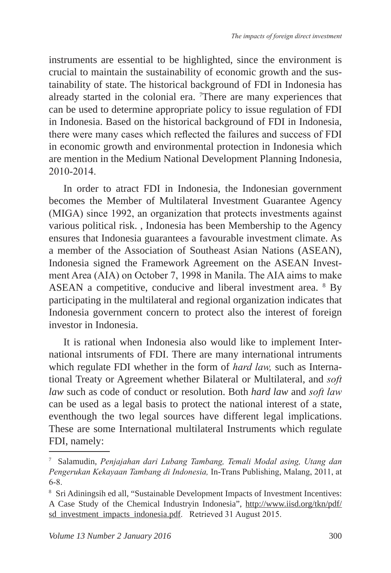instruments are essential to be highlighted, since the environment is crucial to maintain the sustainability of economic growth and the sustainability of state. The historical background of FDI in Indonesia has already started in the colonial era. 7 There are many experiences that can be used to determine appropriate policy to issue regulation of FDI in Indonesia. Based on the historical background of FDI in Indonesia, there were many cases which reflected the failures and success of FDI in economic growth and environmental protection in Indonesia which are mention in the Medium National Development Planning Indonesia, 2010-2014.

In order to atract FDI in Indonesia, the Indonesian government becomes the Member of Multilateral Investment Guarantee Agency (MIGA) since 1992, an organization that protects investments against various political risk. , Indonesia has been Membership to the Agency ensures that Indonesia guarantees a favourable investment climate. As a member of the Association of Southeast Asian Nations (ASEAN), Indonesia signed the Framework Agreement on the ASEAN Investment Area (AIA) on October 7, 1998 in Manila. The AIA aims to make ASEAN a competitive, conducive and liberal investment area. <sup>8</sup> By participating in the multilateral and regional organization indicates that Indonesia government concern to protect also the interest of foreign investor in Indonesia.

It is rational when Indonesia also would like to implement International intsruments of FDI. There are many international intruments which regulate FDI whether in the form of *hard law,* such as International Treaty or Agreement whether Bilateral or Multilateral, and *soft law* such as code of conduct or resolution. Both *hard law* and *soft law* can be used as a legal basis to protect the national interest of a state, eventhough the two legal sources have different legal implications. These are some International multilateral Instruments which regulate FDI, namely:

<sup>7</sup> Salamudin, *Penjajahan dari Lubang Tambang, Temali Modal asing, Utang dan Pengerukan Kekayaan Tambang di Indonesia,* In-Trans Publishing, Malang, 2011, at 6-8.

<sup>8</sup> Sri Adiningsih ed all, "Sustainable Development Impacts of Investment Incentives: A Case Study of the Chemical Industryin Indonesia", http://www.iisd.org/tkn/pdf/ sd\_investment\_impacts\_indonesia.pdf. Retrieved 31 August 2015.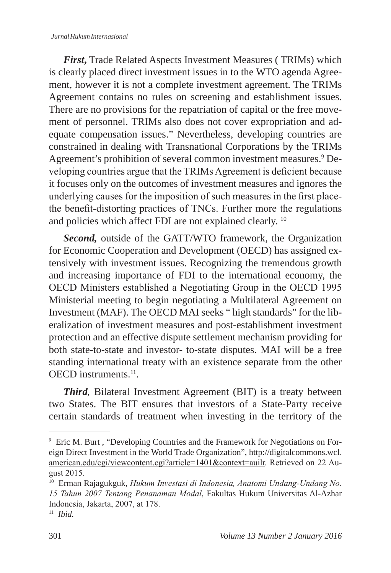#### *Jurnal Hukum Internasional*

*First***,** Trade Related Aspects Investment Measures ( TRIMs) which is clearly placed direct investment issues in to the WTO agenda Agreement, however it is not a complete investment agreement. The TRIMs Agreement contains no rules on screening and establishment issues. There are no provisions for the repatriation of capital or the free movement of personnel. TRIMs also does not cover expropriation and adequate compensation issues." Nevertheless, developing countries are constrained in dealing with Transnational Corporations by the TRIMs Agreement's prohibition of several common investment measures.<sup>9</sup> Developing countries argue that the TRIMs Agreement is deficient because it focuses only on the outcomes of investment measures and ignores the underlying causes for the imposition of such measures in the first placethe benefit-distorting practices of TNCs. Further more the regulations and policies which affect FDI are not explained clearly. 10

*Second,* outside of the GATT/WTO framework, the Organization for Economic Cooperation and Development (OECD) has assigned extensively with investment issues. Recognizing the tremendous growth and increasing importance of FDI to the international economy, the OECD Ministers established a Negotiating Group in the OECD 1995 Ministerial meeting to begin negotiating a Multilateral Agreement on Investment (MAF). The OECD MAI seeks " high standards" for the liberalization of investment measures and post-establishment investment protection and an effective dispute settlement mechanism providing for both state-to-state and investor- to-state disputes. MAI will be a free standing international treaty with an existence separate from the other OECD instruments.<sup>11</sup>

*Third,* Bilateral Investment Agreement (BIT) is a treaty between two States. The BIT ensures that investors of a State-Party receive certain standards of treatment when investing in the territory of the

<sup>9</sup> Eric M. Burt , "Developing Countries and the Framework for Negotiations on Foreign Direct Investment in the World Trade Organization", http://digitalcommons.wcl. american.edu/cgi/viewcontent.cgi?article=1401&context=auilr. Retrieved on 22 August 2015.

<sup>10</sup> Erman Rajagukguk, *Hukum Investasi di Indonesia, Anatomi Undang-Undang No. 15 Tahun 2007 Tentang Penanaman Modal*, Fakultas Hukum Universitas Al-Azhar Indonesia, Jakarta, 2007, at 178.

<sup>11</sup> *Ibid.*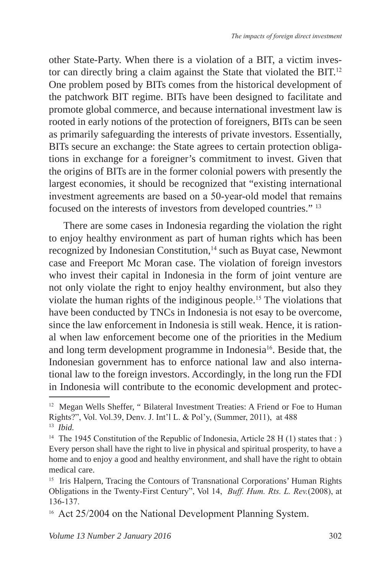other State-Party. When there is a violation of a BIT, a victim investor can directly bring a claim against the State that violated the BIT.<sup>12</sup> One problem posed by BITs comes from the historical development of the patchwork BIT regime. BITs have been designed to facilitate and promote global commerce, and because international investment law is rooted in early notions of the protection of foreigners, BITs can be seen as primarily safeguarding the interests of private investors. Essentially, BITs secure an exchange: the State agrees to certain protection obligations in exchange for a foreigner's commitment to invest. Given that the origins of BITs are in the former colonial powers with presently the largest economies, it should be recognized that "existing international investment agreements are based on a 50-year-old model that remains focused on the interests of investors from developed countries." 13

There are some cases in Indonesia regarding the violation the right to enjoy healthy environment as part of human rights which has been recognized by Indonesian Constitution,<sup>14</sup> such as Buyat case, Newmont case and Freeport Mc Moran case. The violation of foreign investors who invest their capital in Indonesia in the form of joint venture are not only violate the right to enjoy healthy environment, but also they violate the human rights of the indiginous people.<sup>15</sup> The violations that have been conducted by TNCs in Indonesia is not esay to be overcome, since the law enforcement in Indonesia is still weak. Hence, it is rational when law enforcement become one of the priorities in the Medium and long term development programme in Indonesia<sup>16</sup>. Beside that, the Indonesian government has to enforce national law and also international law to the foreign investors. Accordingly, in the long run the FDI in Indonesia will contribute to the economic development and protec-

<sup>&</sup>lt;sup>12</sup> Megan Wells Sheffer, "Bilateral Investment Treaties: A Friend or Foe to Human Rights?", Vol. Vol.39, Denv. J. Int'l L. & Pol'y, (Summer, 2011), at 488 13 *Ibid.*

<sup>&</sup>lt;sup>14</sup> The 1945 Constitution of the Republic of Indonesia, Article 28 H (1) states that : ) Every person shall have the right to live in physical and spiritual prosperity, to have a home and to enjoy a good and healthy environment, and shall have the right to obtain medical care.

<sup>&</sup>lt;sup>15</sup> Iris Halpern, Tracing the Contours of Transnational Corporations' Human Rights Obligations in the Twenty-First Century", Vol 14, *Buff. Hum. Rts. L. Rev.*(2008), at 136-137.

<sup>&</sup>lt;sup>16</sup> Act 25/2004 on the National Development Planning System.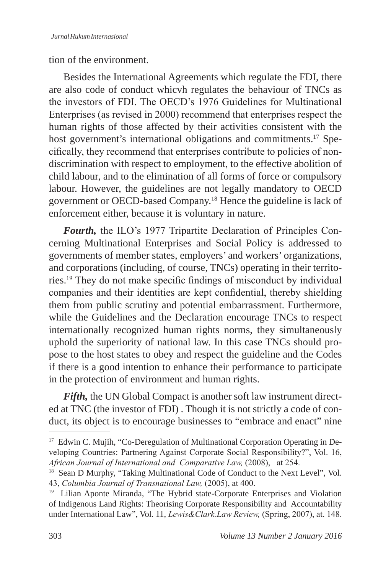tion of the environment.

Besides the International Agreements which regulate the FDI, there are also code of conduct whicvh regulates the behaviour of TNCs as the investors of FDI. The OECD's 1976 Guidelines for Multinational Enterprises (as revised in 2000) recommend that enterprises respect the human rights of those affected by their activities consistent with the host government's international obligations and commitments.<sup>17</sup> Specifically, they recommend that enterprises contribute to policies of nondiscrimination with respect to employment, to the effective abolition of child labour, and to the elimination of all forms of force or compulsory labour. However, the guidelines are not legally mandatory to OECD government or OECD-based Company.18 Hence the guideline is lack of enforcement either, because it is voluntary in nature.

*Fourth,* the ILO's 1977 Tripartite Declaration of Principles Concerning Multinational Enterprises and Social Policy is addressed to governments of member states, employers' and workers' organizations, and corporations (including, of course, TNCs) operating in their territories.19 They do not make specific findings of misconduct by individual companies and their identities are kept confidential, thereby shielding them from public scrutiny and potential embarrassment. Furthermore, while the Guidelines and the Declaration encourage TNCs to respect internationally recognized human rights norms, they simultaneously uphold the superiority of national law. In this case TNCs should propose to the host states to obey and respect the guideline and the Codes if there is a good intention to enhance their performance to participate in the protection of environment and human rights.

*Fifth,* the UN Global Compact is another soft law instrument directed at TNC (the investor of FDI) . Though it is not strictly a code of conduct, its object is to encourage businesses to "embrace and enact" nine

<sup>&</sup>lt;sup>17</sup> Edwin C. Mujih, "Co-Deregulation of Multinational Corporation Operating in Developing Countries: Partnering Against Corporate Social Responsibility?", Vol. 16, *African Journal of International and Comparative Law,* (2008), at 254.

<sup>&</sup>lt;sup>18</sup> Sean D Murphy, "Taking Multinational Code of Conduct to the Next Level", Vol. 43, *Columbia Journal of Transnational Law,* (2005), at 400.

<sup>&</sup>lt;sup>19</sup> Lilian Aponte Miranda, "The Hybrid state-Corporate Enterprises and Violation of Indigenous Land Rights: Theorising Corporate Responsibility and Accountability under International Law", Vol. 11, *Lewis&Clark.Law Review,* (Spring, 2007), at. 148.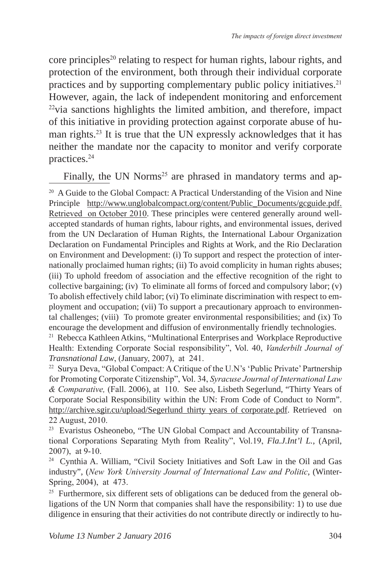core principles<sup>20</sup> relating to respect for human rights, labour rights, and protection of the environment, both through their individual corporate practices and by supporting complementary public policy initiatives.<sup>21</sup> However, again, the lack of independent monitoring and enforcement  $22$ via sanctions highlights the limited ambition, and therefore, impact of this initiative in providing protection against corporate abuse of human rights.<sup>23</sup> It is true that the UN expressly acknowledges that it has neither the mandate nor the capacity to monitor and verify corporate practices.<sup>24</sup>

Finally, the UN Norms<sup>25</sup> are phrased in mandatory terms and ap-

<sup>21</sup> Rebecca Kathleen Atkins, "Multinational Enterprises and Workplace Reproductive Health: Extending Corporate Social responsibility", Vol. 40, *Vanderbilt Journal of Transnational Law*, (January, 2007), at 241.

<sup>22</sup> Surva Deva, "Global Compact: A Critique of the U.N's 'Public Private' Partnership for Promoting Corporate Citizenship", Vol. 34, *Syracuse Journal of International Law & Comparative,* (Fall. 2006), at 110. See also, Lisbeth Segerlund, "Thirty Years of Corporate Social Responsibility within the UN: From Code of Conduct to Norm". http://archive.sgir.cu/upload/Segerlund\_thirty years of corporate.pdf. Retrieved on 22 August, 2010.

<sup>23</sup> Evaristus Osheonebo, "The UN Global Compact and Accountability of Transnational Corporations Separating Myth from Reality", Vol.19, *Fla.J.Int'l L.*, (April, 2007), at 9-10.

<sup>24</sup> Cynthia A. William, "Civil Society Initiatives and Soft Law in the Oil and Gas industry", (*New York University Journal of International Law and Politic*, (Winter-Spring, 2004), at 473.

<sup>25</sup> Furthermore, six different sets of obligations can be deduced from the general obligations of the UN Norm that companies shall have the responsibility: 1) to use due diligence in ensuring that their activities do not contribute directly or indirectly to hu-

<sup>&</sup>lt;sup>20</sup> A Guide to the Global Compact: A Practical Understanding of the Vision and Nine Principle http://www.unglobalcompact.org/content/Public\_Documents/gcguide.pdf. Retrieved on October 2010. These principles were centered generally around wellaccepted standards of human rights, labour rights, and environmental issues, derived from the UN Declaration of Human Rights, the International Labour Organization Declaration on Fundamental Principles and Rights at Work, and the Rio Declaration on Environment and Development: (i) To support and respect the protection of internationally proclaimed human rights; (ii) To avoid complicity in human rights abuses; (iii) To uphold freedom of association and the effective recognition of the right to collective bargaining; (iv) To eliminate all forms of forced and compulsory labor; (v) To abolish effectively child labor; (vi) To eliminate discrimination with respect to employment and occupation; (vii) To support a precautionary approach to environmental challenges; (viii) To promote greater environmental responsibilities; and (ix) To encourage the development and diffusion of environmentally friendly technologies.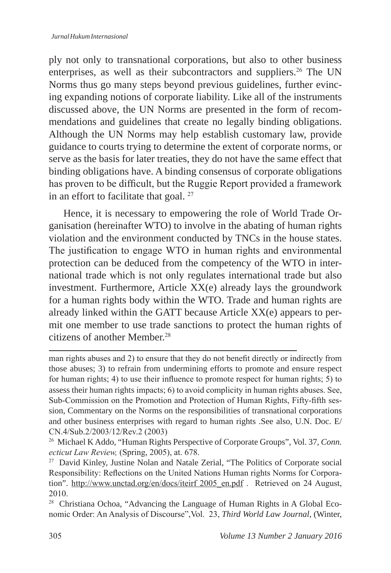ply not only to transnational corporations, but also to other business enterprises, as well as their subcontractors and suppliers.<sup>26</sup> The UN Norms thus go many steps beyond previous guidelines, further evincing expanding notions of corporate liability. Like all of the instruments discussed above, the UN Norms are presented in the form of recommendations and guidelines that create no legally binding obligations. Although the UN Norms may help establish customary law, provide guidance to courts trying to determine the extent of corporate norms, or serve as the basis for later treaties, they do not have the same effect that binding obligations have. A binding consensus of corporate obligations has proven to be difficult, but the Ruggie Report provided a framework in an effort to facilitate that goal. <sup>27</sup>

Hence, it is necessary to empowering the role of World Trade Organisation (hereinafter WTO) to involve in the abating of human rights violation and the environment conducted by TNCs in the house states. The justification to engage WTO in human rights and environmental protection can be deduced from the competency of the WTO in international trade which is not only regulates international trade but also investment. Furthermore, Article XX(e) already lays the groundwork for a human rights body within the WTO. Trade and human rights are already linked within the GATT because Article XX(e) appears to permit one member to use trade sanctions to protect the human rights of citizens of another Member<sup>28</sup>

man rights abuses and 2) to ensure that they do not benefit directly or indirectly from those abuses; 3) to refrain from undermining efforts to promote and ensure respect for human rights; 4) to use their influence to promote respect for human rights;  $\overline{5}$ ) to assess their human rights impacts; 6) to avoid complicity in human rights abuses. See, Sub-Commission on the Promotion and Protection of Human Rights, Fifty-fifth session, Commentary on the Norms on the responsibilities of transnational corporations and other business enterprises with regard to human rights .See also, U.N. Doc. E/ CN.4/Sub.2/2003/12/Rev.2 (2003)

<sup>26</sup> Michael K Addo, "Human Rights Perspective of Corporate Groups", Vol. 37, *Conn. ecticut Law Review,* (Spring, 2005), at. 678.

<sup>&</sup>lt;sup>27</sup> David Kinley, Justine Nolan and Natale Zerial, "The Politics of Corporate social Responsibility: Reflections on the United Nations Human rights Norms for Corporation". http://www.unctad.org/en/docs/iteirf 2005\_en.pdf . Retrieved on 24 August, 2010.

<sup>&</sup>lt;sup>28</sup> Christiana Ochoa, "Advancing the Language of Human Rights in A Global Economic Order: An Analysis of Discourse",Vol. 23, *Third World Law Journal*, (Winter,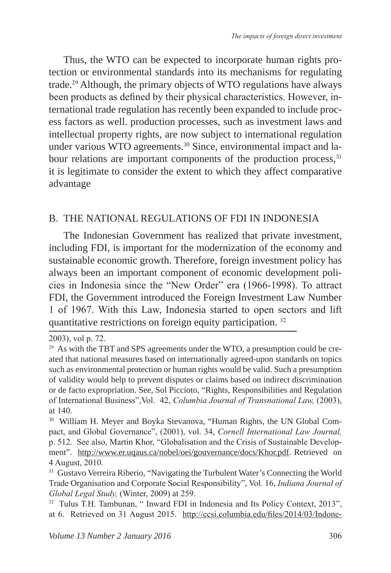Thus, the WTO can be expected to incorporate human rights protection or environmental standards into its mechanisms for regulating trade.<sup>29</sup> Although, the primary objects of WTO regulations have always been products as defined by their physical characteristics. However, international trade regulation has recently been expanded to include process factors as well. production processes, such as investment laws and intellectual property rights, are now subject to international regulation under various WTO agreements.<sup>30</sup> Since, environmental impact and labour relations are important components of the production process,<sup>31</sup> it is legitimate to consider the extent to which they affect comparative advantage

### B. THE NATIONAL REGULATIONS OF FDI IN INDONESIA

The Indonesian Government has realized that private investment, including FDI, is important for the modernization of the economy and sustainable economic growth. Therefore, foreign investment policy has always been an important component of economic development policies in Indonesia since the "New Order" era (1966-1998). To attract FDI, the Government introduced the Foreign Investment Law Number 1 of 1967. With this Law, Indonesia started to open sectors and lift quantitative restrictions on foreign equity participation.<sup>32</sup>

<sup>2003),</sup> vol p. 72.

<sup>&</sup>lt;sup>29</sup> As with the TBT and SPS agreements under the WTO, a presumption could be created that national measures based on internationally agreed-upon standards on topics such as environmental protection or human rights would be valid. Such a presumption of validity would help to prevent disputes or claims based on indirect discrimination or de facto expropriation. See, Sol Piccioto, "Rights, Responsibilities and Regulation of International Business",Vol. 42, *Columbia Journal of Transnational Law,* (2003), at 140.

<sup>30</sup> William H. Meyer and Boyka Stevanova, "Human Rights, the UN Global Compact, and Global Governance", (2001), vol. 34, *Cornell International Law Journal,*  p. 512. See also, Martin Khor, "Globalisation and the Crisis of Sustainable Development". http://www.er.uqaus.ca/nobel/oei/gouvernance/docs/Khor.pdf. Retrieved on 4 August, 2010.

<sup>&</sup>lt;sup>31</sup> Gustavo Verreira Riberio, "Navigating the Turbulent Water's Connecting the World Trade Organisation and Corporate Social Responsibility", Vol. 16, *Indiana Journal of Global Legal Study,* (Winter, 2009) at 259.

<sup>&</sup>lt;sup>32</sup> Tulus T.H. Tambunan, " Inward FDI in Indonesia and Its Policy Context, 2013", at 6.Retrieved on 31 August 2015.http://ccsi.columbia.edu/files/2014/03/Indone-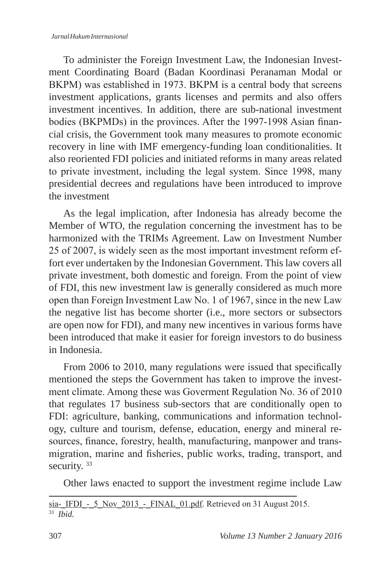#### *Jurnal Hukum Internasional*

To administer the Foreign Investment Law, the Indonesian Investment Coordinating Board (Badan Koordinasi Peranaman Modal or BKPM) was established in 1973. BKPM is a central body that screens investment applications, grants licenses and permits and also offers investment incentives. In addition, there are sub-national investment bodies (BKPMDs) in the provinces. After the 1997-1998 Asian financial crisis, the Government took many measures to promote economic recovery in line with IMF emergency-funding loan conditionalities. It also reoriented FDI policies and initiated reforms in many areas related to private investment, including the legal system. Since 1998, many presidential decrees and regulations have been introduced to improve the investment

As the legal implication, after Indonesia has already become the Member of WTO, the regulation concerning the investment has to be harmonized with the TRIMs Agreement. Law on Investment Number 25 of 2007, is widely seen as the most important investment reform effort ever undertaken by the Indonesian Government. This law covers all private investment, both domestic and foreign. From the point of view of FDI, this new investment law is generally considered as much more open than Foreign Investment Law No. 1 of 1967, since in the new Law the negative list has become shorter (i.e., more sectors or subsectors are open now for FDI), and many new incentives in various forms have been introduced that make it easier for foreign investors to do business in Indonesia.

From 2006 to 2010, many regulations were issued that specifically mentioned the steps the Government has taken to improve the investment climate. Among these was Goverment Regulation No. 36 of 2010 that regulates 17 business sub-sectors that are conditionally open to FDI: agriculture, banking, communications and information technology, culture and tourism, defense, education, energy and mineral resources, finance, forestry, health, manufacturing, manpower and transmigration, marine and fisheries, public works, trading, transport, and security.<sup>33</sup>

Other laws enacted to support the investment regime include Law

sia-IFDI - 5 Nov 2013 - FINAL 01.pdf. Retrieved on 31 August 2015. 33 *Ibid.*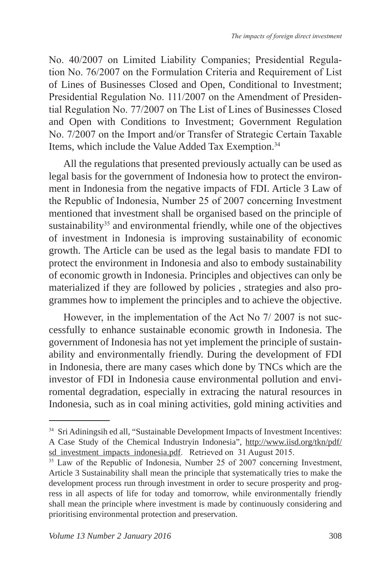No. 40/2007 on Limited Liability Companies; Presidential Regulation No. 76/2007 on the Formulation Criteria and Requirement of List of Lines of Businesses Closed and Open, Conditional to Investment; Presidential Regulation No. 111/2007 on the Amendment of Presidential Regulation No. 77/2007 on The List of Lines of Businesses Closed and Open with Conditions to Investment; Government Regulation No. 7/2007 on the Import and/or Transfer of Strategic Certain Taxable Items, which include the Value Added Tax Exemption.<sup>34</sup>

All the regulations that presented previously actually can be used as legal basis for the government of Indonesia how to protect the environment in Indonesia from the negative impacts of FDI. Article 3 Law of the Republic of Indonesia, Number 25 of 2007 concerning Investment mentioned that investment shall be organised based on the principle of sustainability $35$  and environmental friendly, while one of the objectives of investment in Indonesia is improving sustainability of economic growth. The Article can be used as the legal basis to mandate FDI to protect the environment in Indonesia and also to embody sustainability of economic growth in Indonesia. Principles and objectives can only be materialized if they are followed by policies , strategies and also programmes how to implement the principles and to achieve the objective.

However, in the implementation of the Act No 7/ 2007 is not successfully to enhance sustainable economic growth in Indonesia. The government of Indonesia has not yet implement the principle of sustainability and environmentally friendly. During the development of FDI in Indonesia, there are many cases which done by TNCs which are the investor of FDI in Indonesia cause environmental pollution and enviromental degradation, especially in extracing the natural resources in Indonesia, such as in coal mining activities, gold mining activities and

<sup>&</sup>lt;sup>34</sup> Sri Adiningsih ed all, "Sustainable Development Impacts of Investment Incentives: A Case Study of the Chemical Industryin Indonesia", http://www.iisd.org/tkn/pdf/ sd\_investment\_impacts\_indonesia.pdf. Retrieved on 31 August 2015.

<sup>&</sup>lt;sup>35</sup> Law of the Republic of Indonesia, Number 25 of 2007 concerning Investment, Article 3 Sustainability shall mean the principle that systematically tries to make the development process run through investment in order to secure prosperity and progress in all aspects of life for today and tomorrow, while environmentally friendly shall mean the principle where investment is made by continuously considering and prioritising environmental protection and preservation.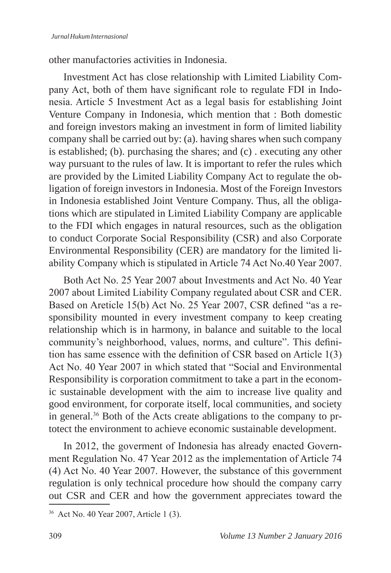other manufactories activities in Indonesia.

Investment Act has close relationship with Limited Liability Company Act, both of them have significant role to regulate FDI in Indonesia. Article 5 Investment Act as a legal basis for establishing Joint Venture Company in Indonesia, which mention that : Both domestic and foreign investors making an investment in form of limited liability company shall be carried out by: (a). having shares when such company is established; (b). purchasing the shares; and (c) . executing any other way pursuant to the rules of law. It is important to refer the rules which are provided by the Limited Liability Company Act to regulate the obligation of foreign investors in Indonesia. Most of the Foreign Investors in Indonesia established Joint Venture Company. Thus, all the obligations which are stipulated in Limited Liability Company are applicable to the FDI which engages in natural resources, such as the obligation to conduct Corporate Social Responsibility (CSR) and also Corporate Environmental Responsibility (CER) are mandatory for the limited liability Company which is stipulated in Article 74 Act No.40 Year 2007.

Both Act No. 25 Year 2007 about Investments and Act No. 40 Year 2007 about Limited Liability Company regulated about CSR and CER. Based on Areticle 15(b) Act No. 25 Year 2007, CSR defined "as a responsibility mounted in every investment company to keep creating relationship which is in harmony, in balance and suitable to the local community's neighborhood, values, norms, and culture". This definition has same essence with the definition of CSR based on Article 1(3) Act No. 40 Year 2007 in which stated that "Social and Environmental Responsibility is corporation commitment to take a part in the economic sustainable development with the aim to increase live quality and good environment, for corporate itself, local communities, and society in general.36 Both of the Acts create abligations to the company to prtotect the environment to achieve economic sustainable development.

In 2012, the goverment of Indonesia has already enacted Government Regulation No. 47 Year 2012 as the implementation of Article 74 (4) Act No. 40 Year 2007. However, the substance of this government regulation is only technical procedure how should the company carry out CSR and CER and how the government appreciates toward the

<sup>36</sup> Act No. 40 Year 2007, Article 1 (3).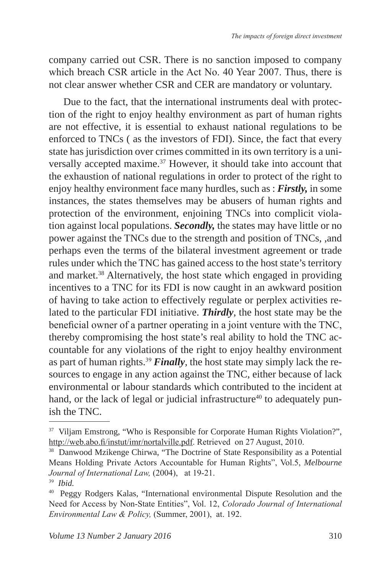company carried out CSR. There is no sanction imposed to company which breach CSR article in the Act No. 40 Year 2007. Thus, there is not clear answer whether CSR and CER are mandatory or voluntary.

Due to the fact, that the international instruments deal with protection of the right to enjoy healthy environment as part of human rights are not effective, it is essential to exhaust national regulations to be enforced to TNCs ( as the investors of FDI). Since, the fact that every state has jurisdiction over crimes committed in its own territory is a universally accepted maxime.37 However, it should take into account that the exhaustion of national regulations in order to protect of the right to enjoy healthy environment face many hurdles, such as : *Firstly,* in some instances, the states themselves may be abusers of human rights and protection of the environment, enjoining TNCs into complicit violation against local populations. *Secondly,* the states may have little or no power against the TNCs due to the strength and position of TNCs, ,and perhaps even the terms of the bilateral investment agreement or trade rules under which the TNC has gained access to the host state's territory and market.38 Alternatively, the host state which engaged in providing incentives to a TNC for its FDI is now caught in an awkward position of having to take action to effectively regulate or perplex activities related to the particular FDI initiative. *Thirdly*, the host state may be the beneficial owner of a partner operating in a joint venture with the TNC, thereby compromising the host state's real ability to hold the TNC accountable for any violations of the right to enjoy healthy environment as part of human rights.<sup>39</sup> *Finally*, the host state may simply lack the resources to engage in any action against the TNC, either because of lack environmental or labour standards which contributed to the incident at hand, or the lack of legal or judicial infrastructure<sup>40</sup> to adequately punish the TNC.

<sup>&</sup>lt;sup>37</sup> Viljam Emstrong, "Who is Responsible for Corporate Human Rights Violation?", http://web.abo.fi/instut/imr/nortalville.pdf. Retrieved on 27 August, 2010.

<sup>&</sup>lt;sup>38</sup> Danwood Mzikenge Chirwa, "The Doctrine of State Responsibility as a Potential Means Holding Private Actors Accountable for Human Rights", Vol.5, *Melbourne Journal of International Law,* (2004), at 19-21.

<sup>39</sup> *Ibid.*

<sup>40</sup> Peggy Rodgers Kalas, "International environmental Dispute Resolution and the Need for Access by Non-State Entities", Vol. 12, *Colorado Journal of International Environmental Law & Policy,* (Summer, 2001), at. 192.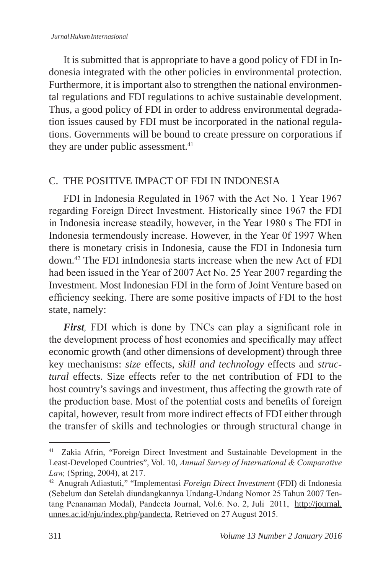It is submitted that is appropriate to have a good policy of FDI in Indonesia integrated with the other policies in environmental protection. Furthermore, it is important also to strengthen the national environmental regulations and FDI regulations to achive sustainable development. Thus, a good policy of FDI in order to address environmental degradation issues caused by FDI must be incorporated in the national regulations. Governments will be bound to create pressure on corporations if they are under public assessment.<sup>41</sup>

### C. THE POSITIVE IMPACT OF FDI IN INDONESIA

FDI in Indonesia Regulated in 1967 with the Act No. 1 Year 1967 regarding Foreign Direct Investment. Historically since 1967 the FDI in Indonesia increase steadily, however, in the Year 1980 s The FDI in Indonesia termendously increase. However, in the Year 0f 1997 When there is monetary crisis in Indonesia, cause the FDI in Indonesia turn down.<sup>42</sup> The FDI inIndonesia starts increase when the new Act of FDI had been issued in the Year of 2007 Act No. 25 Year 2007 regarding the Investment. Most Indonesian FDI in the form of Joint Venture based on efficiency seeking. There are some positive impacts of FDI to the host state, namely:

*First,* FDI which is done by TNCs can play a significant role in the development process of host economies and specifically may affect economic growth (and other dimensions of development) through three key mechanisms: *size* effects, *skill and technology* effects and *structural* effects. Size effects refer to the net contribution of FDI to the host country's savings and investment, thus affecting the growth rate of the production base. Most of the potential costs and benefits of foreign capital, however, result from more indirect effects of FDI either through the transfer of skills and technologies or through structural change in

<sup>41</sup> Zakia Afrin, "Foreign Direct Investment and Sustainable Development in the Least-Developed Countries", Vol. 10, *Annual Survey of International & Comparative Law,* (Spring, 2004), at 217.

<sup>42</sup> Anugrah Adiastuti," "Implementasi *Foreign Direct Investment* (FDI) di Indonesia (Sebelum dan Setelah diundangkannya Undang-Undang Nomor 25 Tahun 2007 Tentang Penanaman Modal), Pandecta Journal, Vol.6. No. 2, Juli 2011, http://journal. unnes.ac.id/nju/index.php/pandecta, Retrieved on 27 August 2015.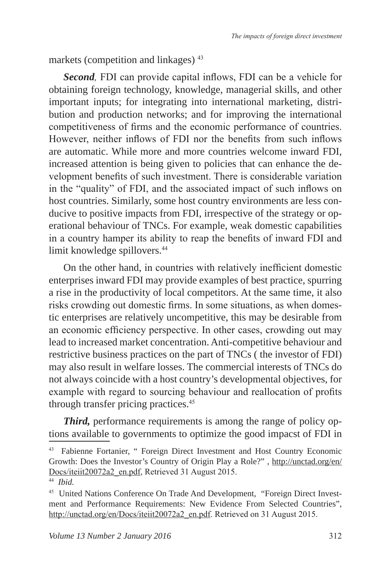markets (competition and linkages) <sup>43</sup>

*Second,* FDI can provide capital inflows, FDI can be a vehicle for obtaining foreign technology, knowledge, managerial skills, and other important inputs; for integrating into international marketing, distribution and production networks; and for improving the international competitiveness of firms and the economic performance of countries. However, neither inflows of FDI nor the benefits from such inflows are automatic. While more and more countries welcome inward FDI, increased attention is being given to policies that can enhance the development benefits of such investment. There is considerable variation in the "quality" of FDI, and the associated impact of such inflows on host countries. Similarly, some host country environments are less conducive to positive impacts from FDI, irrespective of the strategy or operational behaviour of TNCs. For example, weak domestic capabilities in a country hamper its ability to reap the benefits of inward FDI and limit knowledge spillovers.<sup>44</sup>

On the other hand, in countries with relatively inefficient domestic enterprises inward FDI may provide examples of best practice, spurring a rise in the productivity of local competitors. At the same time, it also risks crowding out domestic firms. In some situations, as when domestic enterprises are relatively uncompetitive, this may be desirable from an economic efficiency perspective. In other cases, crowding out may lead to increased market concentration. Anti-competitive behaviour and restrictive business practices on the part of TNCs ( the investor of FDI) may also result in welfare losses. The commercial interests of TNCs do not always coincide with a host country's developmental objectives, for example with regard to sourcing behaviour and reallocation of profits through transfer pricing practices.<sup>45</sup>

*Third,* performance requirements is among the range of policy options available to governments to optimize the good impacst of FDI in

<sup>43</sup> Fabienne Fortanier, " Foreign Direct Investment and Host Country Economic Growth: Does the Investor's Country of Origin Play a Role?" , http://unctad.org/en/ Docs/iteiit20072a2\_en.pdf, Retrieved 31 August 2015.

<sup>44</sup> *Ibid.*

<sup>45</sup> United Nations Conference On Trade And Development, "Foreign Direct Investment and Performance Requirements: New Evidence From Selected Countries", http://unctad.org/en/Docs/iteiit20072a2\_en.pdf. Retrieved on 31 August 2015.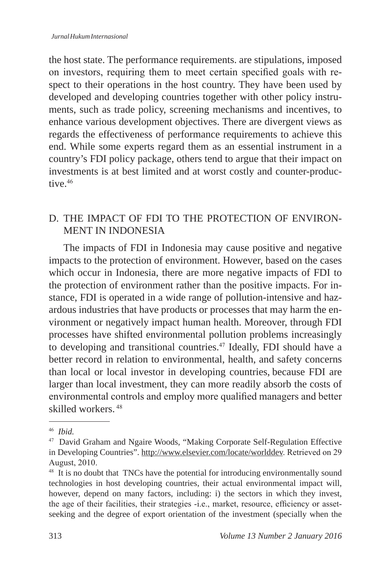the host state. The performance requirements. are stipulations, imposed on investors, requiring them to meet certain specified goals with respect to their operations in the host country. They have been used by developed and developing countries together with other policy instruments, such as trade policy, screening mechanisms and incentives, to enhance various development objectives. There are divergent views as regards the effectiveness of performance requirements to achieve this end. While some experts regard them as an essential instrument in a country's FDI policy package, others tend to argue that their impact on investments is at best limited and at worst costly and counter-productive.<sup>46</sup>

### D. THE IMPACT OF FDI TO THE PROTECTION OF ENVIRON-MENT IN INDONESIA

The impacts of FDI in Indonesia may cause positive and negative impacts to the protection of environment. However, based on the cases which occur in Indonesia, there are more negative impacts of FDI to the protection of environment rather than the positive impacts. For instance, FDI is operated in a wide range of pollution-intensive and hazardous industries that have products or processes that may harm the environment or negatively impact human health. Moreover, through FDI processes have shifted environmental pollution problems increasingly to developing and transitional countries.<sup>47</sup> Ideally, FDI should have a better record in relation to environmental, health, and safety concerns than local or local investor in developing countries, because FDI are larger than local investment, they can more readily absorb the costs of environmental controls and employ more qualified managers and better skilled workers.<sup>48</sup>

<sup>46</sup> *Ibid.*

<sup>47</sup> David Graham and Ngaire Woods, "Making Corporate Self-Regulation Effective in Developing Countries". http://www.elsevier.com/locate/worlddev. Retrieved on 29 August, 2010.

<sup>&</sup>lt;sup>48</sup> It is no doubt that TNCs have the potential for introducing environmentally sound technologies in host developing countries, their actual environmental impact will, however, depend on many factors, including: i) the sectors in which they invest, the age of their facilities, their strategies -i.e., market, resource, efficiency or assetseeking and the degree of export orientation of the investment (specially when the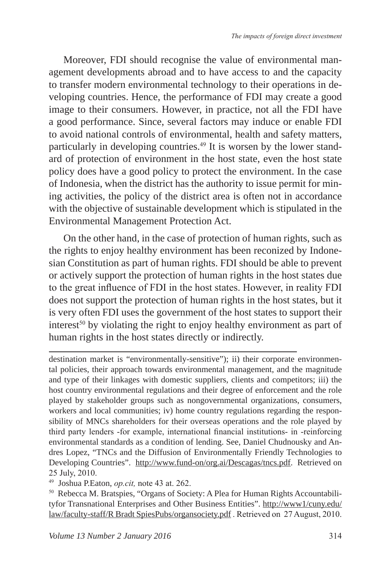Moreover, FDI should recognise the value of environmental management developments abroad and to have access to and the capacity to transfer modern environmental technology to their operations in developing countries. Hence, the performance of FDI may create a good image to their consumers. However, in practice, not all the FDI have a good performance. Since, several factors may induce or enable FDI to avoid national controls of environmental, health and safety matters, particularly in developing countries.49 It is worsen by the lower standard of protection of environment in the host state, even the host state policy does have a good policy to protect the environment. In the case of Indonesia, when the district has the authority to issue permit for mining activities, the policy of the district area is often not in accordance with the objective of sustainable development which is stipulated in the Environmental Management Protection Act.

On the other hand, in the case of protection of human rights, such as the rights to enjoy healthy environment has been reconized by Indonesian Constitution as part of human rights. FDI should be able to prevent or actively support the protection of human rights in the host states due to the great influence of FDI in the host states. However, in reality FDI does not support the protection of human rights in the host states, but it is very often FDI uses the government of the host states to support their interest<sup>50</sup> by violating the right to enjoy healthy environment as part of human rights in the host states directly or indirectly.

destination market is "environmentally-sensitive"); ii) their corporate environmental policies, their approach towards environmental management, and the magnitude and type of their linkages with domestic suppliers, clients and competitors; iii) the host country environmental regulations and their degree of enforcement and the role played by stakeholder groups such as nongovernmental organizations, consumers, workers and local communities; iv) home country regulations regarding the responsibility of MNCs shareholders for their overseas operations and the role played by third party lenders -for example, international financial institutions- in -reinforcing environmental standards as a condition of lending. See, Daniel Chudnousky and Andres Lopez, "TNCs and the Diffusion of Environmentally Friendly Technologies to Developing Countries". http://www.fund-on/org.ai/Descagas/tncs.pdf. Retrieved on 25 July, 2010.

<sup>49</sup> Joshua P.Eaton, *op.cit,* note 43 at. 262.

<sup>50</sup> Rebecca M. Bratspies, "Organs of Society: A Plea for Human Rights Accountabilityfor Transnational Enterprises and Other Business Entities". http://www1/cuny.edu/ law/faculty-staff/R Bradt SpiesPubs/organsociety.pdf . Retrieved on 27 August, 2010.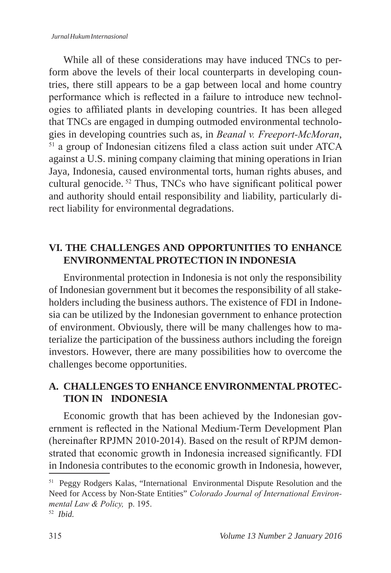While all of these considerations may have induced TNCs to perform above the levels of their local counterparts in developing countries, there still appears to be a gap between local and home country performance which is reflected in a failure to introduce new technologies to affiliated plants in developing countries. It has been alleged that TNCs are engaged in dumping outmoded environmental technologies in developing countries such as, in *Beanal v. Freeport-McMoran*, 51 a group of Indonesian citizens filed a class action suit under ATCA against a U.S. mining company claiming that mining operations in Irian Jaya, Indonesia, caused environmental torts, human rights abuses, and cultural genocide. 52 Thus, TNCs who have significant political power and authority should entail responsibility and liability, particularly direct liability for environmental degradations.

## **VI. THE CHALLENGES AND OPPORTUNITIES TO ENHANCE ENVIRONMENTAL PROTECTION IN INDONESIA**

Environmental protection in Indonesia is not only the responsibility of Indonesian government but it becomes the responsibility of all stakeholders including the business authors. The existence of FDI in Indonesia can be utilized by the Indonesian government to enhance protection of environment. Obviously, there will be many challenges how to materialize the participation of the bussiness authors including the foreign investors. However, there are many possibilities how to overcome the challenges become opportunities.

### **A. CHALLENGES TO ENHANCE ENVIRONMENTAL PROTEC-TION IN INDONESIA**

Economic growth that has been achieved by the Indonesian government is reflected in the National Medium‐Term Development Plan (hereinafter RPJMN 2010‐2014). Based on the result of RPJM demonstrated that economic growth in Indonesia increased significantly. FDI in Indonesia contributes to the economic growth in Indonesia, however,

<sup>51</sup> Peggy Rodgers Kalas, "International Environmental Dispute Resolution and the Need for Access by Non-State Entities" *Colorado Journal of International Environmental Law & Policy,* p. 195.

<sup>52</sup> *Ibid.*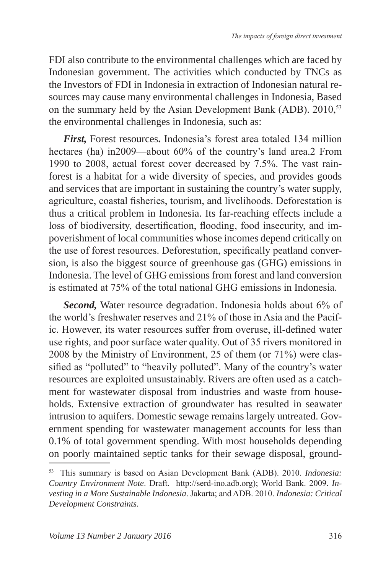FDI also contribute to the environmental challenges which are faced by Indonesian government. The activities which conducted by TNCs as the Investors of FDI in Indonesia in extraction of Indonesian natural resources may cause many environmental challenges in Indonesia, Based on the summary held by the Asian Development Bank (ADB). 2010,<sup>53</sup> the environmental challenges in Indonesia, such as:

*First,* Forest resources**.** Indonesia's forest area totaled 134 million hectares (ha) in2009—about 60% of the country's land area.2 From 1990 to 2008, actual forest cover decreased by 7.5%. The vast rainforest is a habitat for a wide diversity of species, and provides goods and services that are important in sustaining the country's water supply, agriculture, coastal fisheries, tourism, and livelihoods. Deforestation is thus a critical problem in Indonesia. Its far-reaching effects include a loss of biodiversity, desertification, flooding, food insecurity, and impoverishment of local communities whose incomes depend critically on the use of forest resources. Deforestation, specifically peatland conversion, is also the biggest source of greenhouse gas (GHG) emissions in Indonesia. The level of GHG emissions from forest and land conversion is estimated at 75% of the total national GHG emissions in Indonesia.

*Second,* Water resource degradation. Indonesia holds about 6% of the world's freshwater reserves and 21% of those in Asia and the Pacific. However, its water resources suffer from overuse, ill-defined water use rights, and poor surface water quality. Out of 35 rivers monitored in 2008 by the Ministry of Environment, 25 of them (or 71%) were classified as "polluted" to "heavily polluted". Many of the country's water resources are exploited unsustainably. Rivers are often used as a catchment for wastewater disposal from industries and waste from households. Extensive extraction of groundwater has resulted in seawater intrusion to aquifers. Domestic sewage remains largely untreated. Government spending for wastewater management accounts for less than 0.1% of total government spending. With most households depending on poorly maintained septic tanks for their sewage disposal, ground-

<sup>53</sup> This summary is based on Asian Development Bank (ADB). 2010. *Indonesia: Country Environment Note*. Draft. http://serd-ino.adb.org); World Bank. 2009. *Investing in a More Sustainable Indonesia*. Jakarta; and ADB. 2010. *Indonesia: Critical Development Constraints*.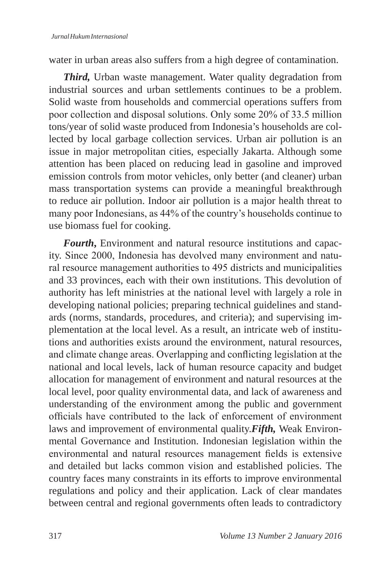water in urban areas also suffers from a high degree of contamination.

*Third,* Urban waste management. Water quality degradation from industrial sources and urban settlements continues to be a problem. Solid waste from households and commercial operations suffers from poor collection and disposal solutions. Only some 20% of 33.5 million tons/year of solid waste produced from Indonesia's households are collected by local garbage collection services. Urban air pollution is an issue in major metropolitan cities, especially Jakarta. Although some attention has been placed on reducing lead in gasoline and improved emission controls from motor vehicles, only better (and cleaner) urban mass transportation systems can provide a meaningful breakthrough to reduce air pollution. Indoor air pollution is a major health threat to many poor Indonesians, as 44% of the country's households continue to use biomass fuel for cooking.

*Fourth*, Environment and natural resource institutions and capacity. Since 2000, Indonesia has devolved many environment and natural resource management authorities to 495 districts and municipalities and 33 provinces, each with their own institutions. This devolution of authority has left ministries at the national level with largely a role in developing national policies; preparing technical guidelines and standards (norms, standards, procedures, and criteria); and supervising implementation at the local level. As a result, an intricate web of institutions and authorities exists around the environment, natural resources, and climate change areas. Overlapping and conflicting legislation at the national and local levels, lack of human resource capacity and budget allocation for management of environment and natural resources at the local level, poor quality environmental data, and lack of awareness and understanding of the environment among the public and government officials have contributed to the lack of enforcement of environment laws and improvement of environmental quality.*Fifth,* Weak Environmental Governance and Institution. Indonesian legislation within the environmental and natural resources management fields is extensive and detailed but lacks common vision and established policies. The country faces many constraints in its efforts to improve environmental regulations and policy and their application. Lack of clear mandates between central and regional governments often leads to contradictory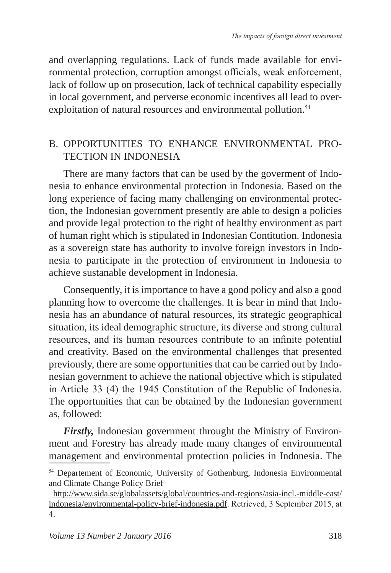and overlapping regulations. Lack of funds made available for environmental protection, corruption amongst officials, weak enforcement, lack of follow up on prosecution, lack of technical capability especially in local government, and perverse economic incentives all lead to overexploitation of natural resources and environmental pollution.<sup>54</sup>

### B. OPPORTUNITIES TO ENHANCE ENVIRONMENTAL PRO-TECTION IN INDONESIA

There are many factors that can be used by the goverment of Indonesia to enhance environmental protection in Indonesia. Based on the long experience of facing many challenging on environmental protection, the Indonesian government presently are able to design a policies and provide legal protection to the right of healthy environment as part of human right which is stipulated in Indonesian Contitution. Indonesia as a sovereign state has authority to involve foreign investors in Indonesia to participate in the protection of environment in Indonesia to achieve sustanable development in Indonesia.

Consequently, it is importance to have a good policy and also a good planning how to overcome the challenges. It is bear in mind that Indonesia has an abundance of natural resources, its strategic geographical situation, its ideal demographic structure, its diverse and strong cultural resources, and its human resources contribute to an infinite potential and creativity. Based on the environmental challenges that presented previously, there are some opportunities that can be carried out by Indonesian government to achieve the national objective which is stipulated in Article 33 (4) the 1945 Constitution of the Republic of Indonesia. The opportunities that can be obtained by the Indonesian government as, followed:

*Firstly,* Indonesian government throught the Ministry of Environment and Forestry has already made many changes of environmental management and environmental protection policies in Indonesia. The

<sup>54</sup> Departement of Economic, University of Gothenburg, Indonesia Environmental and Climate Change Policy Brief

http://www.sida.se/globalassets/global/countries-and-regions/asia-incl.-middle-east/ indonesia/environmental-policy-brief-indonesia.pdf. Retrieved, 3 September 2015, at 4.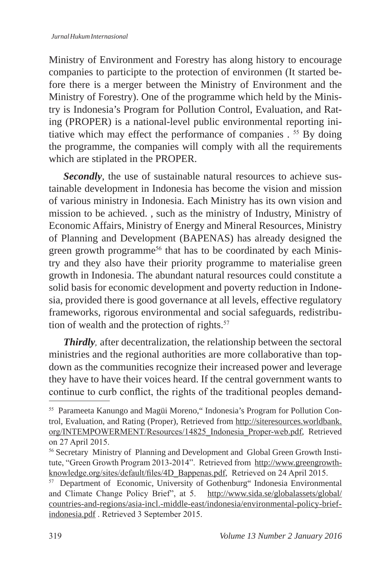Ministry of Environment and Forestry has along history to encourage companies to participte to the protection of environmen (It started before there is a merger between the Ministry of Environment and the Ministry of Forestry). One of the programme which held by the Ministry is Indonesia's Program for Pollution Control, Evaluation, and Rating (PROPER) is a national-level public environmental reporting initiative which may effect the performance of companies . <sup>55</sup> By doing the programme, the companies will comply with all the requirements which are stiplated in the PROPER.

*Secondly*, the use of sustainable natural resources to achieve sustainable development in Indonesia has become the vision and mission of various ministry in Indonesia. Each Ministry has its own vision and mission to be achieved. , such as the ministry of Industry, Ministry of Economic Affairs, Ministry of Energy and Mineral Resources, Ministry of Planning and Development (BAPENAS) has already designed the green growth programme<sup>56</sup> that has to be coordinated by each Ministry and they also have their priority programme to materialise green growth in Indonesia. The abundant natural resources could constitute a solid basis for economic development and poverty reduction in Indonesia, provided there is good governance at all levels, effective regulatory frameworks, rigorous environmental and social safeguards, redistribution of wealth and the protection of rights. $57$ 

*Thirdly,* after decentralization, the relationship between the sectoral ministries and the regional authorities are more collaborative than topdown as the communities recognize their increased power and leverage they have to have their voices heard. If the central government wants to continue to curb conflict, the rights of the traditional peoples demand-

<sup>55</sup> Parameeta Kanungo and Magüi Moreno," Indonesia's Program for Pollution Control, Evaluation, and Rating (Proper), Retrieved from http://siteresources.worldbank. org/INTEMPOWERMENT/Resources/14825\_Indonesia\_Proper-web.pdf, Retrieved on 27 April 2015.

<sup>&</sup>lt;sup>56</sup> Secretary Ministry of Planning and Development and Global Green Growth Institute, "Green Growth Program 2013-2014". Retrieved from http://www.greengrowthknowledge.org/sites/default/files/4D\_Bappenas.pdf, Retrieved on 24 April 2015.

<sup>&</sup>lt;sup>57</sup> Department of Economic, University of Gothenburg" Indonesia Environmental and Climate Change Policy Brief", at 5. http://www.sida.se/globalassets/global/ countries-and-regions/asia-incl.-middle-east/indonesia/environmental-policy-briefindonesia.pdf . Retrieved 3 September 2015.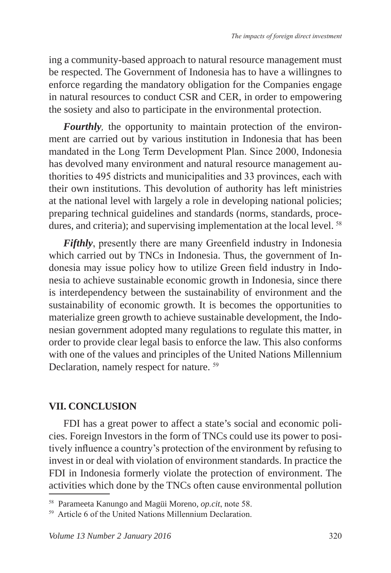ing a community-based approach to natural resource management must be respected. The Government of Indonesia has to have a willingnes to enforce regarding the mandatory obligation for the Companies engage in natural resources to conduct CSR and CER, in order to empowering the sosiety and also to participate in the environmental protection.

*Fourthly,* the opportunity to maintain protection of the environment are carried out by various institution in Indonesia that has been mandated in the Long Term Development Plan. Since 2000, Indonesia has devolved many environment and natural resource management authorities to 495 districts and municipalities and 33 provinces, each with their own institutions. This devolution of authority has left ministries at the national level with largely a role in developing national policies; preparing technical guidelines and standards (norms, standards, procedures, and criteria); and supervising implementation at the local level. <sup>58</sup>

*Fifthly*, presently there are many Greenfield industry in Indonesia which carried out by TNCs in Indonesia. Thus, the government of Indonesia may issue policy how to utilize Green field industry in Indonesia to achieve sustainable economic growth in Indonesia, since there is interdependency between the sustainability of environment and the sustainability of economic growth. It is becomes the opportunities to materialize green growth to achieve sustainable development, the Indonesian government adopted many regulations to regulate this matter, in order to provide clear legal basis to enforce the law. This also conforms with one of the values and principles of the United Nations Millennium Declaration, namely respect for nature. <sup>59</sup>

### **VII. CONCLUSION**

FDI has a great power to affect a state's social and economic policies. Foreign Investors in the form of TNCs could use its power to positively influence a country's protection of the environment by refusing to invest in or deal with violation of environment standards. In practice the FDI in Indonesia formerly violate the protection of environment. The activities which done by the TNCs often cause environmental pollution

<sup>58</sup> Parameeta Kanungo and Magüi Moreno, *op.cit*, note 58.

<sup>59</sup> Article 6 of the United Nations Millennium Declaration.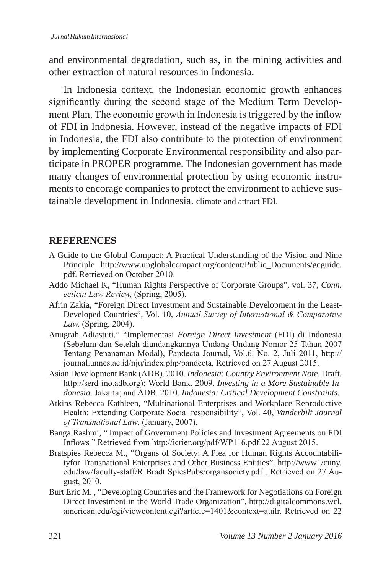and environmental degradation, such as, in the mining activities and other extraction of natural resources in Indonesia.

In Indonesia context, the Indonesian economic growth enhances significantly during the second stage of the Medium Term Development Plan. The economic growth in Indonesia is triggered by the inflow of FDI in Indonesia. However, instead of the negative impacts of FDI in Indonesia, the FDI also contribute to the protection of environment by implementing Corporate Environmental responsibility and also participate in PROPER programme. The Indonesian government has made many changes of environmental protection by using economic instruments to encorage companies to protect the environment to achieve sustainable development in Indonesia. climate and attract FDI.

### **REFERENCES**

- A Guide to the Global Compact: A Practical Understanding of the Vision and Nine Principle http://www.unglobalcompact.org/content/Public\_Documents/gcguide. pdf. Retrieved on October 2010.
- Addo Michael K, "Human Rights Perspective of Corporate Groups", vol. 37, *Conn. ecticut Law Review,* (Spring, 2005).
- Afrin Zakia, "Foreign Direct Investment and Sustainable Development in the Least-Developed Countries", Vol. 10, *Annual Survey of International & Comparative Law,* (Spring, 2004).
- Anugrah Adiastuti," "Implementasi *Foreign Direct Investment* (FDI) di Indonesia (Sebelum dan Setelah diundangkannya Undang-Undang Nomor 25 Tahun 2007 Tentang Penanaman Modal), Pandecta Journal, Vol.6. No. 2, Juli 2011, http:// journal.unnes.ac.id/nju/index.php/pandecta, Retrieved on 27 August 2015.
- Asian Development Bank (ADB). 2010. *Indonesia: Country Environment Note*. Draft. http://serd-ino.adb.org); World Bank. 2009. *Investing in a More Sustainable Indonesia*. Jakarta; and ADB. 2010. *Indonesia: Critical Development Constraints*.
- Atkins Rebecca Kathleen, "Multinational Enterprises and Workplace Reproductive Health: Extending Corporate Social responsibility", Vol. 40, *Vanderbilt Journal of Transnational Law*. (January, 2007).
- Banga Rashmi, " Impact of Government Policies and Investment Agreements on FDI Inflows " Retrieved from http://icrier.org/pdf/WP116.pdf 22 August 2015.
- Bratspies Rebecca M., "Organs of Society: A Plea for Human Rights Accountabilityfor Transnational Enterprises and Other Business Entities". http://www1/cuny. edu/law/faculty-staff/R Bradt SpiesPubs/organsociety.pdf . Retrieved on 27 August, 2010.
- Burt Eric M. , "Developing Countries and the Framework for Negotiations on Foreign Direct Investment in the World Trade Organization", http://digitalcommons.wcl. american.edu/cgi/viewcontent.cgi?article=1401&context=auilr. Retrieved on 22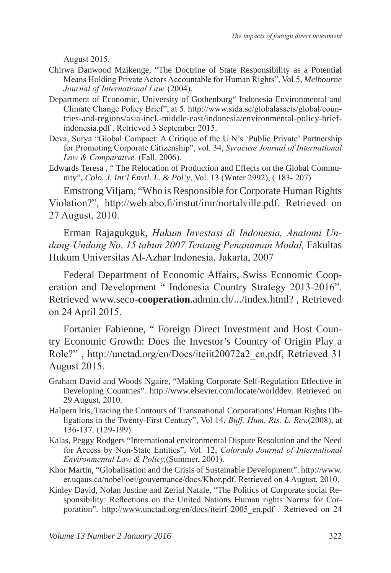August 2015.

- Chirwa Danwood Mzikenge, "The Doctrine of State Responsibility as a Potential Means Holding Private Actors Accountable for Human Rights", Vol.5, *Melbourne Journal of International Law.* (2004).
- Department of Economic, University of Gothenburg" Indonesia Environmental and Climate Change Policy Brief", at 5. http://www.sida.se/globalassets/global/countries-and-regions/asia-incl.-middle-east/indonesia/environmental-policy-briefindonesia.pdf . Retrieved 3 September 2015.
- Deva, Surya "Global Compact: A Critique of the U.N's 'Public Private' Partnership for Promoting Corporate Citizenship", vol. 34, *Syracuse Journal of International Law & Comparative,* (Fall. 2006).
- Edwards Teresa , " The Relocation of Production and Effects on the Global Community", *Colo. J. Int'l Envtl. L. & Pol'y*, Vol. 13 (Wnter 2992), ( 183- 207)

Emstrong Viljam, "Who is Responsible for Corporate Human Rights Violation?", http://web.abo.fi/instut/imr/nortalville.pdf. Retrieved on 27 August, 2010.

Erman Rajagukguk, *Hukum Investasi di Indonesia, Anatomi Undang-Undang No. 15 tahun 2007 Tentang Penanaman Modal,* Fakultas Hukum Universitas Al-Azhar Indonesia, Jakarta, 2007

Federal Department of Economic Affairs, Swiss Economic Cooperation and Development " Indonesia Country Strategy 2013-2016". Retrieved www.seco-**cooperation**.admin.ch/.../index.html? , Retrieved on 24 April 2015.

Fortanier Fabienne, " Foreign Direct Investment and Host Country Economic Growth: Does the Investor's Country of Origin Play a Role?" , http://unctad.org/en/Docs/iteiit20072a2\_en.pdf, Retrieved 31 August 2015.

- Graham David and Woods Ngaire, "Making Corporate Self-Regulation Effective in Developing Countries". http://www.elsevier.com/locate/worlddev. Retrieved on 29 August, 2010.
- Halpern Iris, Tracing the Contours of Transnational Corporations' Human Rights Obligations in the Twenty-First Century", Vol 14, *Buff. Hum. Rts. L. Rev.*(2008), at 136-137. (129-199).
- Kalas, Peggy Rodgers "International environmental Dispute Resolution and the Need for Access by Non-State Entities", Vol. 12, *Colorado Journal of International Environmental Law & Policy,*(Summer, 2001).
- Khor Martin, "Globalisation and the Crisis of Sustainable Development". http://www. er.uqaus.ca/nobel/oei/gouvernance/docs/Khor.pdf. Retrieved on 4 August, 2010.
- Kinley David, Nolan Justine and Zerial Natale, "The Politics of Corporate social Responsibility: Reflections on the United Nations Human rights Norms for Corporation". http://www.unctad.org/en/docs/iteirf 2005\_en.pdf . Retrieved on 24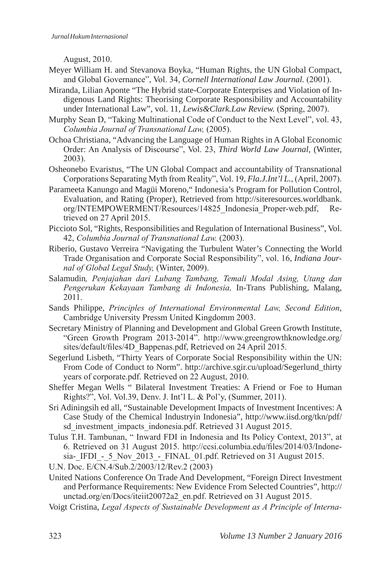August, 2010.

- Meyer William H. and Stevanova Boyka, "Human Rights, the UN Global Compact, and Global Governance", Vol. 34, *Cornell International Law Journal.* (2001).
- Miranda, Lilian Aponte "The Hybrid state-Corporate Enterprises and Violation of Indigenous Land Rights: Theorising Corporate Responsibility and Accountability under International Law", vol. 11, *Lewis&Clark.Law Review.* (Spring, 2007).
- Murphy Sean D, "Taking Multinational Code of Conduct to the Next Level", vol. 43, *Columbia Journal of Transnational Law,* (2005).
- Ochoa Christiana, "Advancing the Language of Human Rights in A Global Economic Order: An Analysis of Discourse", Vol. 23, *Third World Law Journal*, (Winter, 2003).
- Osheonebo Evaristus, "The UN Global Compact and accountability of Transnational Corporations Separating Myth from Reality", Vol. 19, *Fla.J.Int'l L.*, (April, 2007).
- Parameeta Kanungo and Magüi Moreno," Indonesia's Program for Pollution Control, Evaluation, and Rating (Proper), Retrieved from http://siteresources.worldbank. org/INTEMPOWERMENT/Resources/14825\_Indonesia\_Proper-web.pdf, Retrieved on 27 April 2015.
- Piccioto Sol, "Rights, Responsibilities and Regulation of International Business", Vol. 42, *Columbia Journal of Transnational Law.* (2003).
- Riberio, Gustavo Verreira "Navigating the Turbulent Water's Connecting the World Trade Organisation and Corporate Social Responsibility", vol. 16, *Indiana Journal of Global Legal Study,* (Winter, 2009).
- Salamudin*, Penjajahan dari Lubang Tambang, Temali Modal Asing, Utang dan Pengerukan Kekayaan Tambang di Indonesia,* In-Trans Publishing, Malang, 2011.
- Sands Philippe, *Principles of International Environmental Law, Second Edition*, Cambridge University Pressm United Kingdomm 2003.
- Secretary Ministry of Planning and Development and Global Green Growth Institute, "Green Growth Program 2013-2014". http://www.greengrowthknowledge.org/ sites/default/files/4D\_Bappenas.pdf, Retrieved on 24 April 2015.
- Segerlund Lisbeth, "Thirty Years of Corporate Social Responsibility within the UN: From Code of Conduct to Norm". http://archive.sgir.cu/upload/Segerlund\_thirty years of corporate.pdf. Retrieved on 22 August, 2010.
- Sheffer Megan Wells " Bilateral Investment Treaties: A Friend or Foe to Human Rights?", Vol. Vol.39, Denv. J. Int'l L. & Pol'y, (Summer, 2011).
- Sri Adiningsih ed all, "Sustainable Development Impacts of Investment Incentives: A Case Study of the Chemical Industryin Indonesia", http://www.iisd.org/tkn/pdf/ sd\_investment\_impacts\_indonesia.pdf. Retrieved 31 August 2015.
- Tulus T.H. Tambunan, " Inward FDI in Indonesia and Its Policy Context, 2013", at 6. Retrieved on 31 August 2015. http://ccsi.columbia.edu/files/2014/03/Indonesia-IFDI - 5 Nov 2013 - FINAL 01.pdf. Retrieved on 31 August 2015.
- U.N. Doc. E/CN.4/Sub.2/2003/12/Rev.2 (2003)
- United Nations Conference On Trade And Development, "Foreign Direct Investment and Performance Requirements: New Evidence From Selected Countries", http:// unctad.org/en/Docs/iteiit20072a2\_en.pdf. Retrieved on 31 August 2015.
- Voigt Cristina, *Legal Aspects of Sustainable Development as A Principle of Interna-*